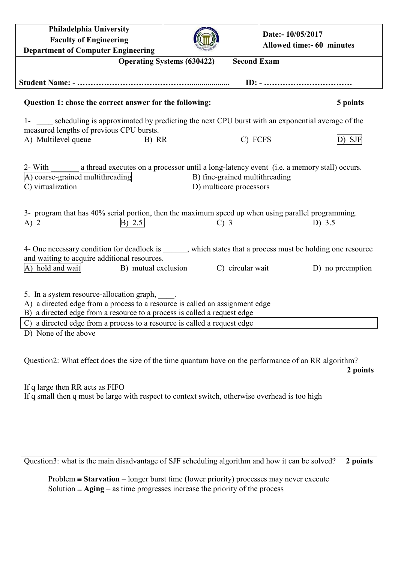| Philadelphia University<br><b>Faculty of Engineering</b>                                                                                                                                                                                                                                                                                                       |                                   | Date:- 10/05/2017<br>Allowed time:- 60 minutes |        |  |  |  |
|----------------------------------------------------------------------------------------------------------------------------------------------------------------------------------------------------------------------------------------------------------------------------------------------------------------------------------------------------------------|-----------------------------------|------------------------------------------------|--------|--|--|--|
| <b>Department of Computer Engineering</b>                                                                                                                                                                                                                                                                                                                      | <b>Operating Systems (630422)</b> | <b>Second Exam</b>                             |        |  |  |  |
|                                                                                                                                                                                                                                                                                                                                                                |                                   |                                                |        |  |  |  |
|                                                                                                                                                                                                                                                                                                                                                                |                                   |                                                |        |  |  |  |
| Question 1: chose the correct answer for the following:<br>5 points                                                                                                                                                                                                                                                                                            |                                   |                                                |        |  |  |  |
| scheduling is approximated by predicting the next CPU burst with an exponential average of the<br>$1-$<br>measured lengths of previous CPU bursts.                                                                                                                                                                                                             |                                   |                                                |        |  |  |  |
| A) Multilevel queue<br>B) RR                                                                                                                                                                                                                                                                                                                                   |                                   | C) FCFS                                        | D) SJF |  |  |  |
| 2- With<br>a thread executes on a processor until a long-latency event (i.e. a memory stall) occurs.<br>A) coarse-grained multithreading<br>B) fine-grained multithreading<br>C) virtualization<br>D) multicore processors<br>3- program that has 40% serial portion, then the maximum speed up when using parallel programming.<br>B) 2.5<br>$C)$ 3<br>D) 3.5 |                                   |                                                |        |  |  |  |
| $A)$ 2<br>4- One necessary condition for deadlock is ______, which states that a process must be holding one resource<br>and waiting to acquire additional resources.<br>C) circular wait<br>A) hold and wait<br>B) mutual exclusion<br>D) no preemption                                                                                                       |                                   |                                                |        |  |  |  |
| 5. In a system resource-allocation graph, _____.<br>A) a directed edge from a process to a resource is called an assignment edge<br>B) a directed edge from a resource to a process is called a request edge<br>C) a directed edge from a process to a resource is called a request edge<br>D) None of the above                                               |                                   |                                                |        |  |  |  |

Question2: What effect does the size of the time quantum have on the performance of an RR algorithm? **2 points**

If q large then RR acts as FIFO If q small then q must be large with respect to context switch, otherwise overhead is too high

Question3: what is the main disadvantage of SJF scheduling algorithm and how it can be solved? **2 points**

Problem  $\equiv$  **Starvation** – longer burst time (lower priority) processes may never execute Solution  $\equiv$  **Aging** – as time progresses increase the priority of the process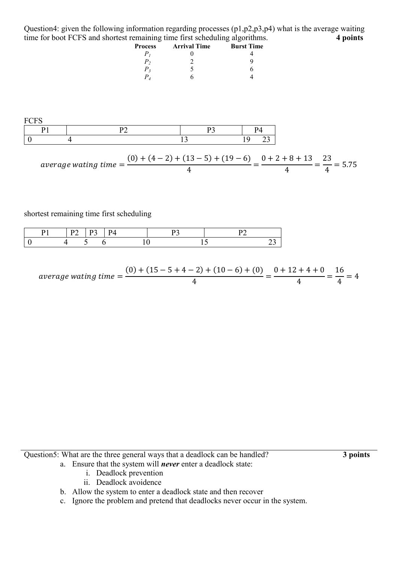Question4: given the following information regarding processes (p1,p2,p3,p4) what is the average waiting time for boot FCFS and shortest remaining time first scheduling algorithms. **4 points**

| <b>Process</b> | <b>Arrival Time</b> | <b>Burst Time</b> |  |
|----------------|---------------------|-------------------|--|
|                |                     |                   |  |
| Р,             |                     |                   |  |
| $P_{3}$        |                     |                   |  |
|                |                     |                   |  |



$$
average\ waiting\ time = \frac{(0) + (4 - 2) + (13 - 5) + (19 - 6)}{4} = \frac{0 + 2 + 8 + 13}{4} = \frac{23}{4} = 5.75
$$

shortest remaining time first scheduling

|  |  | PД |  |
|--|--|----|--|
|  |  |    |  |

$$
average\ waiting\ time = \frac{(0) + (15 - 5 + 4 - 2) + (10 - 6) + (0)}{4} = \frac{0 + 12 + 4 + 0}{4} = \frac{16}{4} = 4
$$

Question5: What are the three general ways that a deadlock can be handled? **3 points**

- a. Ensure that the system will *never* enter a deadlock state:
	- i. Deadlock prevention
	- ii. Deadlock avoidence
- b. Allow the system to enter a deadlock state and then recover
- c. Ignore the problem and pretend that deadlocks never occur in the system.